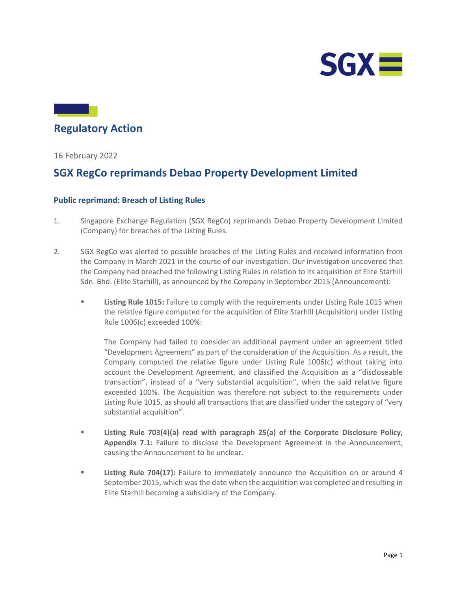

# Regulatory Action

16 February 2022

## SGX RegCo reprimands Debao Property Development Limited

### Public reprimand: Breach of Listing Rules

- 1. Singapore Exchange Regulation (SGX RegCo) reprimands Debao Property Development Limited (Company) for breaches of the Listing Rules.
- 2. SGX RegCo was alerted to possible breaches of the Listing Rules and received information from the Company in March 2021 in the course of our investigation. Our investigation uncovered that the Company had breached the following Listing Rules in relation to its acquisition of Elite Starhill Sdn. Bhd. (Elite Starhill), as announced by the Company in September 2015 (Announcement):
	- **EXECUTE:** Listing Rule 1015: Failure to comply with the requirements under Listing Rule 1015 when the relative figure computed for the acquisition of Elite Starhill (Acquisition) under Listing Rule 1006(c) exceeded 100%:

The Company had failed to consider an additional payment under an agreement titled "Development Agreement" as part of the consideration of the Acquisition. As a result, the Company computed the relative figure under Listing Rule 1006(c) without taking into account the Development Agreement, and classified the Acquisition as a "discloseable transaction", instead of a "very substantial acquisition", when the said relative figure exceeded 100%. The Acquisition was therefore not subject to the requirements under Listing Rule 1015, as should all transactions that are classified under the category of "very substantial acquisition".

- Listing Rule 703(4)(a) read with paragraph 25(a) of the Corporate Disclosure Policy, Appendix 7.1: Failure to disclose the Development Agreement in the Announcement, causing the Announcement to be unclear.
- **EXECUTE:** Listing Rule 704(17): Failure to immediately announce the Acquisition on or around 4 September 2015, which was the date when the acquisition was completed and resulting in Elite Starhill becoming a subsidiary of the Company.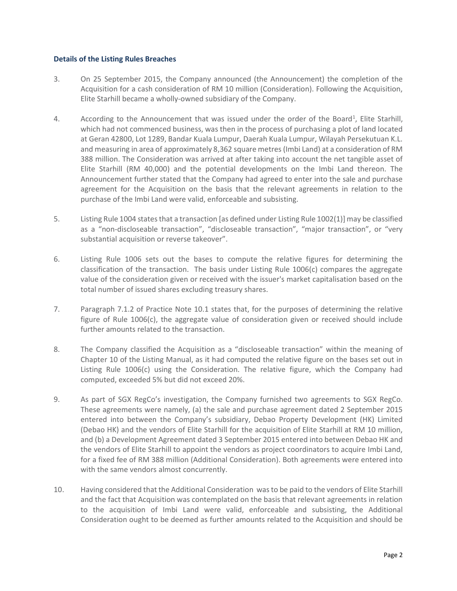#### Details of the Listing Rules Breaches

- 3. On 25 September 2015, the Company announced (the Announcement) the completion of the Acquisition for a cash consideration of RM 10 million (Consideration). Following the Acquisition, Elite Starhill became a wholly-owned subsidiary of the Company.
- 4. According to the Announcement that was issued under the order of the Board<sup>1</sup>, Elite Starhill, which had not commenced business, was then in the process of purchasing a plot of land located at Geran 42800, Lot 1289, Bandar Kuala Lumpur, Daerah Kuala Lumpur, Wilayah Persekutuan K.L. and measuring in area of approximately 8,362 square metres (Imbi Land) at a consideration of RM 388 million. The Consideration was arrived at after taking into account the net tangible asset of Elite Starhill (RM 40,000) and the potential developments on the Imbi Land thereon. The Announcement further stated that the Company had agreed to enter into the sale and purchase agreement for the Acquisition on the basis that the relevant agreements in relation to the purchase of the Imbi Land were valid, enforceable and subsisting.
- 5. Listing Rule 1004 states that a transaction [as defined under Listing Rule 1002(1)] may be classified as a "non-discloseable transaction", "discloseable transaction", "major transaction", or "very substantial acquisition or reverse takeover".
- 6. Listing Rule 1006 sets out the bases to compute the relative figures for determining the classification of the transaction. The basis under Listing Rule 1006(c) compares the aggregate value of the consideration given or received with the issuer's market capitalisation based on the total number of issued shares excluding treasury shares.
- 7. Paragraph 7.1.2 of Practice Note 10.1 states that, for the purposes of determining the relative figure of Rule 1006(c), the aggregate value of consideration given or received should include further amounts related to the transaction.
- 8. The Company classified the Acquisition as a "discloseable transaction" within the meaning of Chapter 10 of the Listing Manual, as it had computed the relative figure on the bases set out in Listing Rule 1006(c) using the Consideration. The relative figure, which the Company had computed, exceeded 5% but did not exceed 20%.
- 9. As part of SGX RegCo's investigation, the Company furnished two agreements to SGX RegCo. These agreements were namely, (a) the sale and purchase agreement dated 2 September 2015 entered into between the Company's subsidiary, Debao Property Development (HK) Limited (Debao HK) and the vendors of Elite Starhill for the acquisition of Elite Starhill at RM 10 million, and (b) a Development Agreement dated 3 September 2015 entered into between Debao HK and the vendors of Elite Starhill to appoint the vendors as project coordinators to acquire Imbi Land, for a fixed fee of RM 388 million (Additional Consideration). Both agreements were entered into with the same vendors almost concurrently.
- 10. Having considered that the Additional Consideration was to be paid to the vendors of Elite Starhill and the fact that Acquisition was contemplated on the basis that relevant agreements in relation to the acquisition of Imbi Land were valid, enforceable and subsisting, the Additional Consideration ought to be deemed as further amounts related to the Acquisition and should be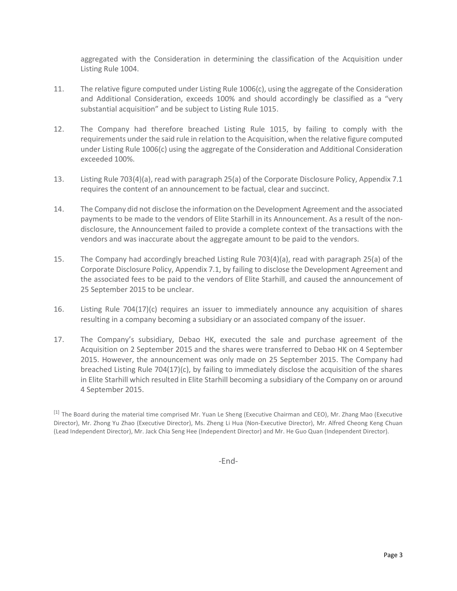aggregated with the Consideration in determining the classification of the Acquisition under Listing Rule 1004.

- 11. The relative figure computed under Listing Rule 1006(c), using the aggregate of the Consideration and Additional Consideration, exceeds 100% and should accordingly be classified as a "very substantial acquisition" and be subject to Listing Rule 1015.
- 12. The Company had therefore breached Listing Rule 1015, by failing to comply with the requirements under the said rule in relation to the Acquisition, when the relative figure computed under Listing Rule 1006(c) using the aggregate of the Consideration and Additional Consideration exceeded 100%.
- 13. Listing Rule 703(4)(a), read with paragraph 25(a) of the Corporate Disclosure Policy, Appendix 7.1 requires the content of an announcement to be factual, clear and succinct.
- 14. The Company did not disclose the information on the Development Agreement and the associated payments to be made to the vendors of Elite Starhill in its Announcement. As a result of the nondisclosure, the Announcement failed to provide a complete context of the transactions with the vendors and was inaccurate about the aggregate amount to be paid to the vendors.
- 15. The Company had accordingly breached Listing Rule 703(4)(a), read with paragraph 25(a) of the Corporate Disclosure Policy, Appendix 7.1, by failing to disclose the Development Agreement and the associated fees to be paid to the vendors of Elite Starhill, and caused the announcement of 25 September 2015 to be unclear.
- 16. Listing Rule 704(17)(c) requires an issuer to immediately announce any acquisition of shares resulting in a company becoming a subsidiary or an associated company of the issuer.
- 17. The Company's subsidiary, Debao HK, executed the sale and purchase agreement of the Acquisition on 2 September 2015 and the shares were transferred to Debao HK on 4 September 2015. However, the announcement was only made on 25 September 2015. The Company had breached Listing Rule 704(17)(c), by failing to immediately disclose the acquisition of the shares in Elite Starhill which resulted in Elite Starhill becoming a subsidiary of the Company on or around 4 September 2015.

-End-

<sup>[1]</sup> The Board during the material time comprised Mr. Yuan Le Sheng (Executive Chairman and CEO), Mr. Zhang Mao (Executive Director), Mr. Zhong Yu Zhao (Executive Director), Ms. Zheng Li Hua (Non-Executive Director), Mr. Alfred Cheong Keng Chuan (Lead Independent Director), Mr. Jack Chia Seng Hee (Independent Director) and Mr. He Guo Quan (Independent Director).